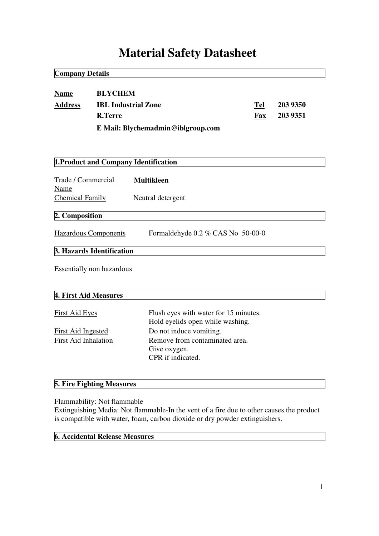# **Material Safety Datasheet**

| <b>Company Details</b>                               |                                                                |                                                                                                |                   |                      |
|------------------------------------------------------|----------------------------------------------------------------|------------------------------------------------------------------------------------------------|-------------------|----------------------|
| <b>Name</b><br><b>Address</b>                        | <b>BLYCHEM</b><br><b>IBL Industrial Zone</b><br><b>R.Terre</b> | E Mail: Blychemadmin@iblgroup.com                                                              | Tel<br><b>Fax</b> | 203 9350<br>203 9351 |
|                                                      |                                                                | 1. Product and Company Identification                                                          |                   |                      |
| Trade / Commercial<br>Name<br><b>Chemical Family</b> |                                                                | <b>Multikleen</b><br>Neutral detergent                                                         |                   |                      |
| 2. Composition                                       |                                                                |                                                                                                |                   |                      |
|                                                      | <b>Hazardous Components</b>                                    | Formaldehyde 0.2 % CAS No 50-00-0                                                              |                   |                      |
|                                                      | 3. Hazards Identification                                      |                                                                                                |                   |                      |
|                                                      | <b>Essentially non hazardous</b>                               |                                                                                                |                   |                      |
| 4. First Aid Measures                                |                                                                |                                                                                                |                   |                      |
| <b>First Aid Eyes</b>                                |                                                                | Flush eyes with water for 15 minutes.<br>Hold eyelids open while washing.                      |                   |                      |
| <b>First Aid Ingested</b><br>First Aid Inhalation    |                                                                | Do not induce vomiting.<br>Remove from contaminated area.<br>Give oxygen.<br>CPR if indicated. |                   |                      |

## **5. Fire Fighting Measures**

Flammability: Not flammable

Extinguishing Media: Not flammable-In the vent of a fire due to other causes the product is compatible with water, foam, carbon dioxide or dry powder extinguishers.

## **6. Accidental Release Measures**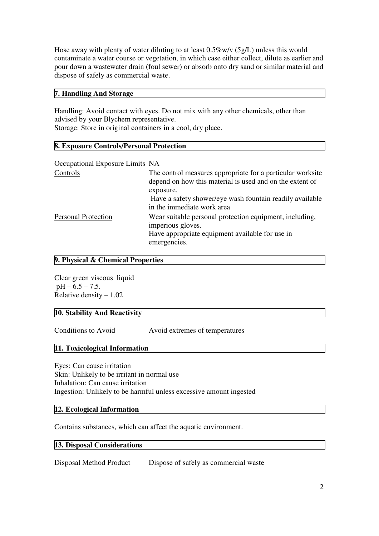Hose away with plenty of water diluting to at least 0.5%w/v (5g/L) unless this would contaminate a water course or vegetation, in which case either collect, dilute as earlier and pour down a wastewater drain (foul sewer) or absorb onto dry sand or similar material and dispose of safely as commercial waste.

#### **7. Handling And Storage**

Handling: Avoid contact with eyes. Do not mix with any other chemicals, other than advised by your Blychem representative.

Storage: Store in original containers in a cool, dry place.

#### **8. Exposure Controls/Personal Protection**

| Occupational Exposure Limits NA |                                                                                                                                                 |
|---------------------------------|-------------------------------------------------------------------------------------------------------------------------------------------------|
| Controls                        | The control measures appropriate for a particular worksite<br>depend on how this material is used and on the extent of                          |
|                                 | exposure.<br>Have a safety shower/eye wash fountain readily available<br>in the immediate work area                                             |
| <b>Personal Protection</b>      | Wear suitable personal protection equipment, including,<br>imperious gloves.<br>Have appropriate equipment available for use in<br>emergencies. |

#### **9. Physical & Chemical Properties**

Clear green viscous liquid  $pH - 6.5 - 7.5$ . Relative density – 1.02

#### **10. Stability And Reactivity**

Conditions to Avoid Avoid extremes of temperatures

#### **11. Toxicological Information**

Eyes: Can cause irritation Skin: Unlikely to be irritant in normal use Inhalation: Can cause irritation Ingestion: Unlikely to be harmful unless excessive amount ingested

#### **12. Ecological Information**

Contains substances, which can affect the aquatic environment.

#### **13. Disposal Considerations**

Disposal Method Product Dispose of safely as commercial waste